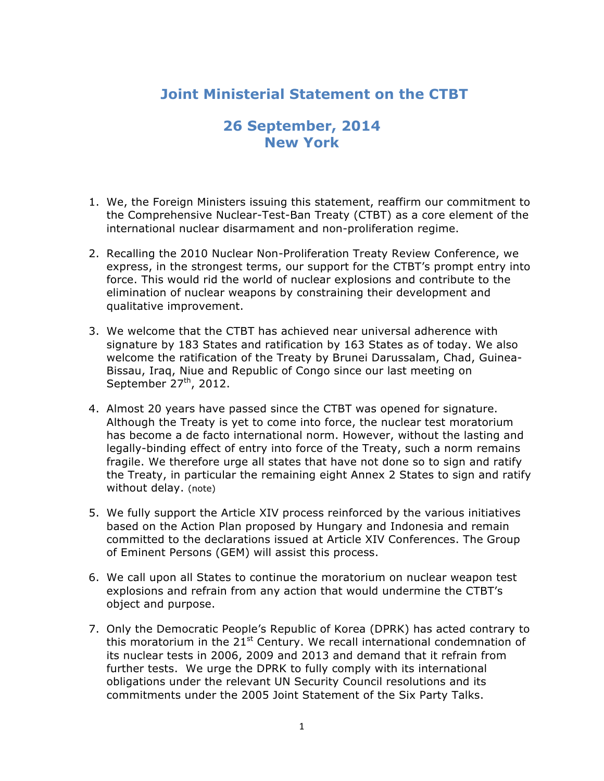## **Joint Ministerial Statement on the CTBT**

## **26 September, 2014 New York**

- 1. We, the Foreign Ministers issuing this statement, reaffirm our commitment to the Comprehensive Nuclear-Test-Ban Treaty (CTBT) as a core element of the international nuclear disarmament and non-proliferation regime.
- 2. Recalling the 2010 Nuclear Non-Proliferation Treaty Review Conference, we express, in the strongest terms, our support for the CTBT's prompt entry into force. This would rid the world of nuclear explosions and contribute to the elimination of nuclear weapons by constraining their development and qualitative improvement.
- 3. We welcome that the CTBT has achieved near universal adherence with signature by 183 States and ratification by 163 States as of today. We also welcome the ratification of the Treaty by Brunei Darussalam, Chad, Guinea-Bissau, Iraq, Niue and Republic of Congo since our last meeting on September  $27<sup>th</sup>$ , 2012.
- 4. Almost 20 years have passed since the CTBT was opened for signature. Although the Treaty is yet to come into force, the nuclear test moratorium has become a de facto international norm. However, without the lasting and legally-binding effect of entry into force of the Treaty, such a norm remains fragile. We therefore urge all states that have not done so to sign and ratify the Treaty, in particular the remaining eight Annex 2 States to sign and ratify without delay. (note)
- 5. We fully support the Article XIV process reinforced by the various initiatives based on the Action Plan proposed by Hungary and Indonesia and remain committed to the declarations issued at Article XIV Conferences. The Group of Eminent Persons (GEM) will assist this process.
- 6. We call upon all States to continue the moratorium on nuclear weapon test explosions and refrain from any action that would undermine the CTBT's object and purpose.
- 7. Only the Democratic People's Republic of Korea (DPRK) has acted contrary to this moratorium in the  $21^{st}$  Century. We recall international condemnation of its nuclear tests in 2006, 2009 and 2013 and demand that it refrain from further tests. We urge the DPRK to fully comply with its international obligations under the relevant UN Security Council resolutions and its commitments under the 2005 Joint Statement of the Six Party Talks.